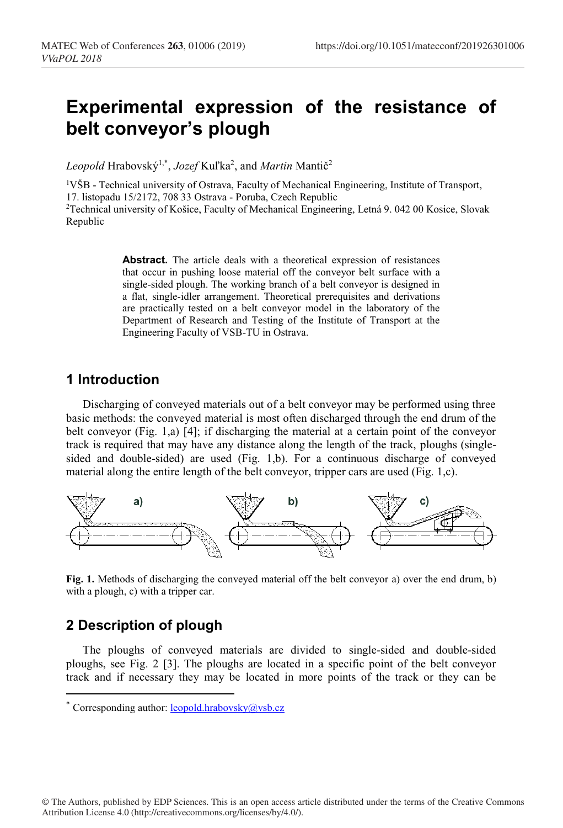# **Experimental expression of the resistance of belt conveyor's plough**

Leopold Hrabovský<sup>1,\*</sup>, *Jozef* Kuľka<sup>2</sup>, and *Martin* Mantič<sup>2</sup>

<sup>1</sup>VŠB - Technical university of Ostrava, Faculty of Mechanical Engineering, Institute of Transport, 17. listopadu 15/2172, 708 33 Ostrava - Poruba, Czech Republic <sup>2</sup>Technical university of Košice, Faculty of Mechanical Engineering, Letná 9. 042 00 Kosice, Slovak Republic

> Abstract. The article deals with a theoretical expression of resistances that occur in pushing loose material off the conveyor belt surface with a single-sided plough. The working branch of a belt conveyor is designed in a flat, single-idler arrangement. Theoretical prerequisites and derivations are practically tested on a belt conveyor model in the laboratory of the Department of Research and Testing of the Institute of Transport at the Engineering Faculty of VSB-TU in Ostrava.

#### **1 Introduction**

Discharging of conveyed materials out of a belt conveyor may be performed using three basic methods: the conveyed material is most often discharged through the end drum of the belt conveyor (Fig. 1,a) [4]; if discharging the material at a certain point of the conveyor track is required that may have any distance along the length of the track, ploughs (singlesided and double-sided) are used (Fig. 1,b). For a continuous discharge of conveyed material along the entire length of the belt conveyor, tripper cars are used (Fig. 1,c).



**Fig. 1.** Methods of discharging the conveyed material off the belt conveyor a) over the end drum, b) with a plough, c) with a tripper car.

### **2 Description of plough**

The ploughs of conveyed materials are divided to single-sided and double-sided ploughs, see Fig. 2 [3]. The ploughs are located in a specific point of the belt conveyor track and if necessary they may be located in more points of the track or they can be

<sup>\*</sup> Corresponding author: leopold.hrabovsky@vsb.cz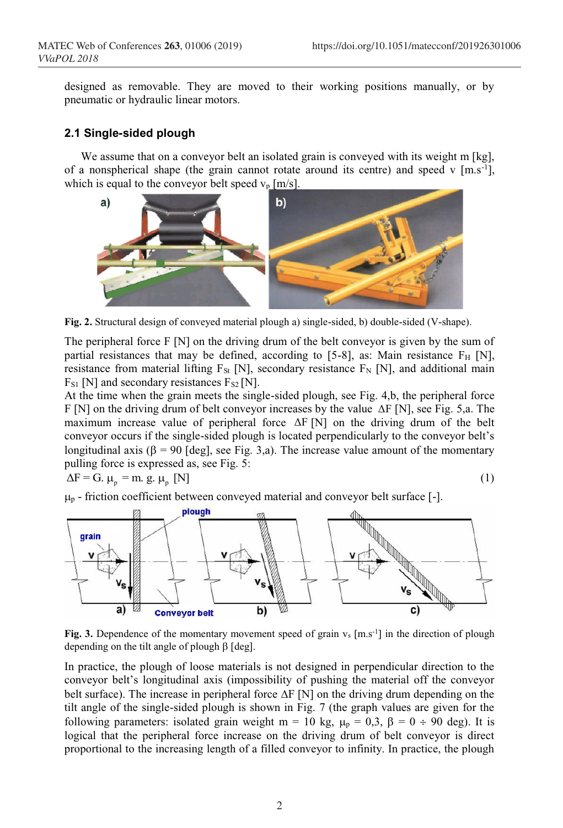designed as removable. They are moved to their working positions manually, or by pneumatic or hydraulic linear motors.

#### **2.1 Single-sided plough**

We assume that on a conveyor belt an isolated grain is conveyed with its weight m [kg], of a nonspherical shape (the grain cannot rotate around its centre) and speed v  $[m.s^{-1}]$ , which is equal to the conveyor belt speed  $v_p$  [m/s].



**Fig. 2.** Structural design of conveyed material plough a) single-sided, b) double-sided (V-shape).

The peripheral force  $F[N]$  on the driving drum of the belt conveyor is given by the sum of partial resistances that may be defined, according to [5-8], as: Main resistance  $F_H$  [N], resistance from material lifting  $F_{St}$  [N], secondary resistance  $F_N$  [N], and additional main  $F_{S1}$  [N] and secondary resistances  $F_{S2}$  [N].

At the time when the grain meets the single-sided plough, see Fig. 4,b, the peripheral force F [N] on the driving drum of belt conveyor increases by the value ΔF [N], see Fig. 5,a. The maximum increase value of peripheral force ΔF [N] on the driving drum of the belt conveyor occurs if the single-sided plough is located perpendicularly to the conveyor belt's longitudinal axis ( $\beta = 90$  [deg], see Fig. 3,a). The increase value amount of the momentary pulling force is expressed as, see Fig. 5:

 $\Delta F = G$ .  $\mu_p = m$ . g.  $\mu_p$  [N]

$$
(1)
$$

 $\mu_{\rm p}$  - friction coefficient between conveyed material and conveyor belt surface [-].



**Fig.** 3. Dependence of the momentary movement speed of grain  $v_s$  [m.s<sup>-1</sup>] in the direction of plough depending on the tilt angle of plough  $\beta$  [deg].

In practice, the plough of loose materials is not designed in perpendicular direction to the conveyor belt's longitudinal axis (impossibility of pushing the material off the conveyor belt surface). The increase in peripheral force  $\Delta F$  [N] on the driving drum depending on the tilt angle of the single-sided plough is shown in Fig. 7 (the graph values are given for the following parameters: isolated grain weight m = 10 kg,  $\mu_p = 0.3$ ,  $\beta = 0 \div 90$  deg). It is logical that the peripheral force increase on the driving drum of belt conveyor is direct proportional to the increasing length of a filled conveyor to infinity. In practice, the plough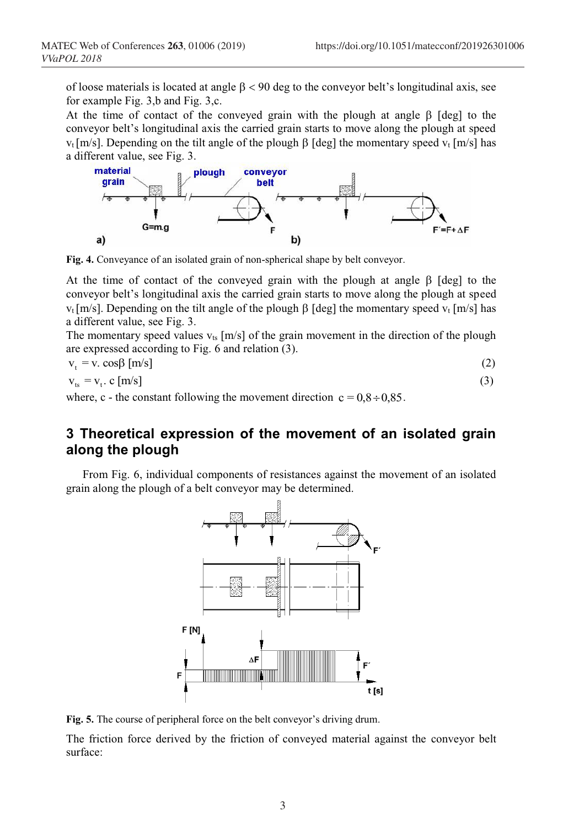of loose materials is located at angle  $\beta$  < 90 deg to the conveyor belt's longitudinal axis, see for example Fig. 3,b and Fig. 3,c.

At the time of contact of the conveyed grain with the plough at angle  $\beta$  [deg] to the conveyor belt's longitudinal axis the carried grain starts to move along the plough at speed  $v_t$ [m/s]. Depending on the tilt angle of the plough  $\beta$  [deg] the momentary speed  $v_t$  [m/s] has a different value, see Fig. 3.



**Fig. 4.** Conveyance of an isolated grain of non-spherical shape by belt conveyor.

At the time of contact of the conveyed grain with the plough at angle  $\beta$  [deg] to the conveyor belt's longitudinal axis the carried grain starts to move along the plough at speed  $v_t$  [m/s]. Depending on the tilt angle of the plough  $\beta$  [deg] the momentary speed  $v_t$  [m/s] has a different value, see Fig. 3.

The momentary speed values  $v_{ts}$  [m/s] of the grain movement in the direction of the plough are expressed according to Fig. 6 and relation (3).

$$
v_t = v \cdot \cos\beta \, [\text{m/s}] \tag{2}
$$

$$
v_{ts} = v_t \cdot c \, [m/s] \tag{3}
$$

where, c - the constant following the movement direction  $c = 0.8 \div 0.85$ .

### **3 Theoretical expression of the movement of an isolated grain along the plough**

From Fig. 6, individual components of resistances against the movement of an isolated grain along the plough of a belt conveyor may be determined.



**Fig. 5.** The course of peripheral force on the belt conveyor's driving drum.

The friction force derived by the friction of conveyed material against the conveyor belt surface: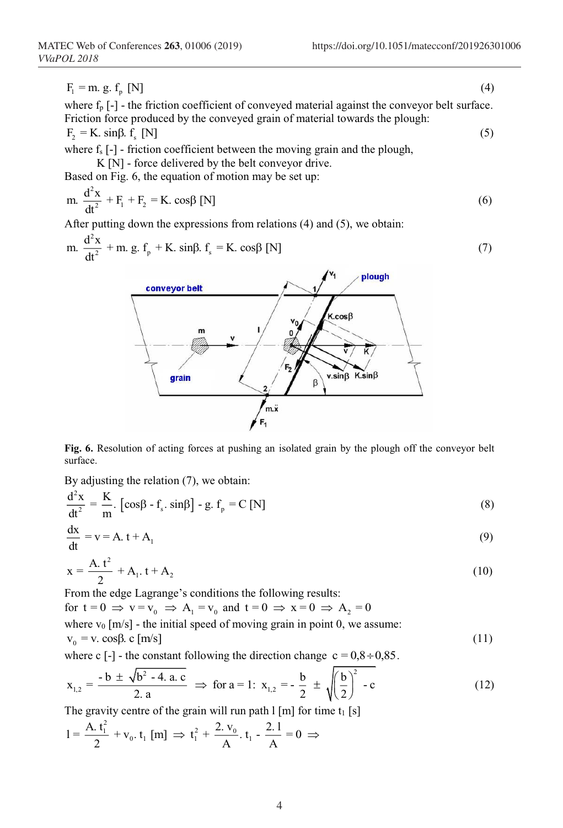$F_1 = m. g. f_p [N]$  (4)

where  $f_p$  [-] - the friction coefficient of conveyed material against the conveyor belt surface. Friction force produced by the conveyed grain of material towards the plough:  $F_2 = K$ . sin $\beta$ .  $f_s$  [N] (5)

where  $f_s$  [-] - friction coefficient between the moving grain and the plough,

K [N] - force delivered by the belt conveyor drive.

Based on Fig. 6, the equation of motion may be set up:

$$
m. \frac{d^2x}{dt^2} + F_1 + F_2 = K. \cos\beta \text{ [N]}
$$
 (6)

After putting down the expressions from relations (4) and (5), we obtain:

m. 
$$
\frac{d^2x}{dt^2} + m. g. f_p + K. \sin\beta. f_s = K. \cos\beta [N]
$$
 (7)



**Fig. 6.** Resolution of acting forces at pushing an isolated grain by the plough off the conveyor belt surface.

By adjusting the relation (7), we obtain:

$$
\frac{d^2x}{dt^2} = \frac{K}{m} \left[ \cos\beta - f_s \cdot \sin\beta \right] - g \cdot f_p = C \left[ N \right] \tag{8}
$$

$$
\frac{dx}{dt} = v = A \cdot t + A_1 \tag{9}
$$

$$
x = \frac{A_1 t^2}{2} + A_1 t + A_2
$$
 (10)

From the edge Lagrange's conditions the following results:

for  $t = 0 \implies v = v_0 \implies A_1 = v_0$  and  $t = 0 \implies x = 0 \implies A_2 = 0$ where  $v_0$  [m/s] - the initial speed of moving grain in point 0, we assume:  $v_0 = v$ . cos $\beta$ . c [m/s] (11)

where c  $[-]$  - the constant following the direction change  $c = 0.8 \div 0.85$ .

$$
\mathbf{x}_{1,2} = \frac{-\mathbf{b} \pm \sqrt{\mathbf{b}^2 - 4 \cdot \mathbf{a} \cdot \mathbf{c}}}{2 \cdot \mathbf{a}} \implies \text{for } \mathbf{a} = 1: \ \mathbf{x}_{1,2} = -\frac{\mathbf{b}}{2} \pm \sqrt{\left(\frac{\mathbf{b}}{2}\right)^2 - \mathbf{c}}
$$
(12)

The gravity centre of the grain will run path  $1 \text{ [m]}$  for time  $t_1 \text{ [s]}$ 

$$
1 = \frac{A_1 t_1^2}{2} + v_0, t_1 \text{ [m]} \implies t_1^2 + \frac{2. v_0}{A}, t_1 - \frac{2.1}{A} = 0 \implies
$$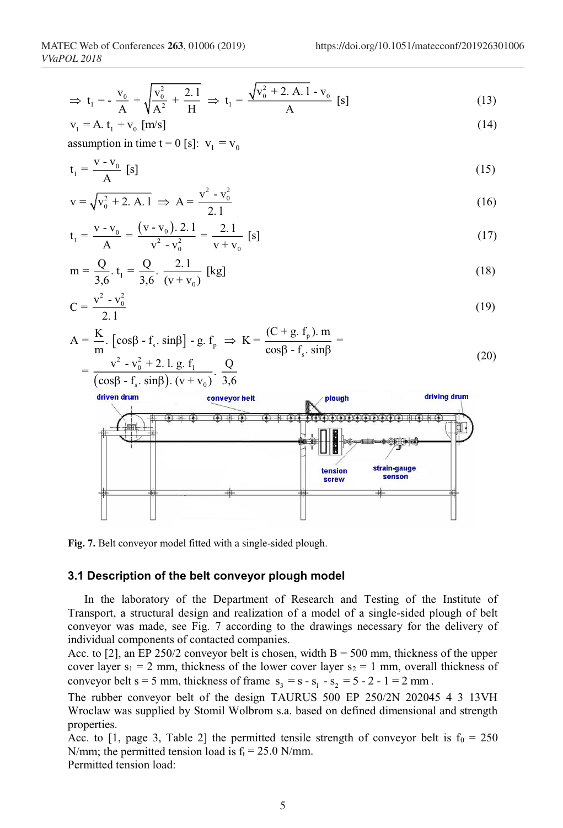$$
\Rightarrow t_1 = -\frac{v_0}{A} + \sqrt{\frac{v_0^2}{A^2} + \frac{2.1}{H}} \Rightarrow t_1 = \frac{\sqrt{v_0^2 + 2. A. 1} - v_0}{A} [s]
$$
(13)

$$
v_1 = A \t t_1 + v_0 \t [m/s]
$$
\n
$$
(14)
$$

assumption in time  $t = 0$  [s]:  $v_1 = v_0$ 

$$
t_1 = \frac{V - V_0}{A} [s]
$$
 (15)

$$
v = \sqrt{v_0^2 + 2. A. 1} \implies A = \frac{v^2 - v_0^2}{2.1}
$$
 (16)

$$
t_1 = \frac{v - v_0}{A} = \frac{(v - v_0).2.1}{v^2 - v_0^2} = \frac{2.1}{v + v_0} [s]
$$
 (17)

$$
m = \frac{Q}{3,6} \cdot t_1 = \frac{Q}{3,6} \cdot \frac{2.1}{(v + v_0)} \text{ [kg]}
$$
 (18)

$$
C = \frac{v^2 - v_0^2}{2.1}
$$
 (19)

$$
A = \frac{K}{m} \cdot \left[ \cos\beta - f_s \cdot \sin\beta \right] - g \cdot f_p \implies K = \frac{(C + g \cdot f_p) \cdot m}{\cos\beta - f_s \cdot \sin\beta} =
$$
  
= 
$$
\frac{v^2 - v_0^2 + 2 \cdot l \cdot g \cdot f_1}{(\cos\beta - f_s \cdot \sin\beta) \cdot (v + v_0)} \cdot \frac{Q}{3,6}
$$
 (20)



**Fig. 7.** Belt conveyor model fitted with a single-sided plough.

#### **3.1 Description of the belt conveyor plough model**

In the laboratory of the Department of Research and Testing of the Institute of Transport, a structural design and realization of a model of a single-sided plough of belt conveyor was made, see Fig. 7 according to the drawings necessary for the delivery of individual components of contacted companies.

Acc. to [2], an EP 250/2 conveyor belt is chosen, width  $B = 500$  mm, thickness of the upper cover layer  $s_1 = 2$  mm, thickness of the lower cover layer  $s_2 = 1$  mm, overall thickness of conveyor belt s = 5 mm, thickness of frame  $s_3 = s - s_1 - s_2 = 5 - 2 - 1 = 2$  mm.

The rubber conveyor belt of the design TAURUS 500 EP 250/2N 202045 4 3 13VH Wroclaw was supplied by Stomil Wolbrom s.a. based on defined dimensional and strength properties.

Acc. to [1, page 3, Table 2] the permitted tensile strength of conveyor belt is  $f_0 = 250$ N/mm; the permitted tension load is  $f_t = 25.0$  N/mm.

Permitted tension load: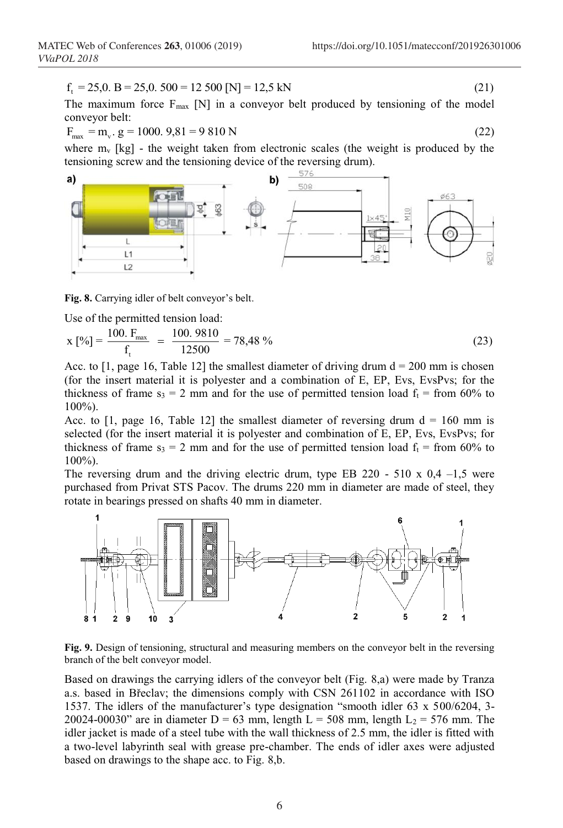$$
f_t = 25.0. \ B = 25.0. \ 500 = 12 \ 500 \ [N] = 12.5 \ kN \tag{21}
$$

The maximum force  $F_{\text{max}}$  [N] in a conveyor belt produced by tensioning of the model conveyor belt:

$$
F_{\text{max}} = m_v \cdot g = 1000.9,81 = 9810 \text{ N}
$$
\n(22)

where  $m_v$  [kg] - the weight taken from electronic scales (the weight is produced by the tensioning screw and the tensioning device of the reversing drum).



**Fig. 8.** Carrying idler of belt conveyor's belt.

Use of the permitted tension load:

$$
x [%] = \frac{100. F_{\text{max}}}{f_t} = \frac{100.9810}{12500} = 78,48\% \tag{23}
$$

Acc. to  $[1, \text{page 16}, \text{Table 12}]$  the smallest diameter of driving drum  $d = 200$  mm is chosen (for the insert material it is polyester and a combination of E, EP, Evs, EvsPvs; for the thickness of frame  $s_3 = 2$  mm and for the use of permitted tension load  $f_t =$  from 60% to 100%).

Acc. to [1, page 16, Table 12] the smallest diameter of reversing drum  $d = 160$  mm is selected (for the insert material it is polyester and combination of E, EP, Evs, EvsPvs; for thickness of frame  $s_3 = 2$  mm and for the use of permitted tension load  $f_t =$  from 60% to 100%).

The reversing drum and the driving electric drum, type EB 220 - 510 x  $0.4 - 1.5$  were purchased from Privat STS Pacov. The drums 220 mm in diameter are made of steel, they rotate in bearings pressed on shafts 40 mm in diameter.



**Fig. 9.** Design of tensioning, structural and measuring members on the conveyor belt in the reversing branch of the belt conveyor model.

Based on drawings the carrying idlers of the conveyor belt (Fig. 8,a) were made by Tranza a.s. based in Břeclav; the dimensions comply with CSN 261102 in accordance with ISO 1537. The idlers of the manufacturer's type designation "smooth idler 63 x 500/6204, 3- 20024-00030" are in diameter D = 63 mm, length L = 508 mm, length  $L_2$  = 576 mm. The idler jacket is made of a steel tube with the wall thickness of 2.5 mm, the idler is fitted with a two-level labyrinth seal with grease pre-chamber. The ends of idler axes were adjusted based on drawings to the shape acc. to Fig. 8,b.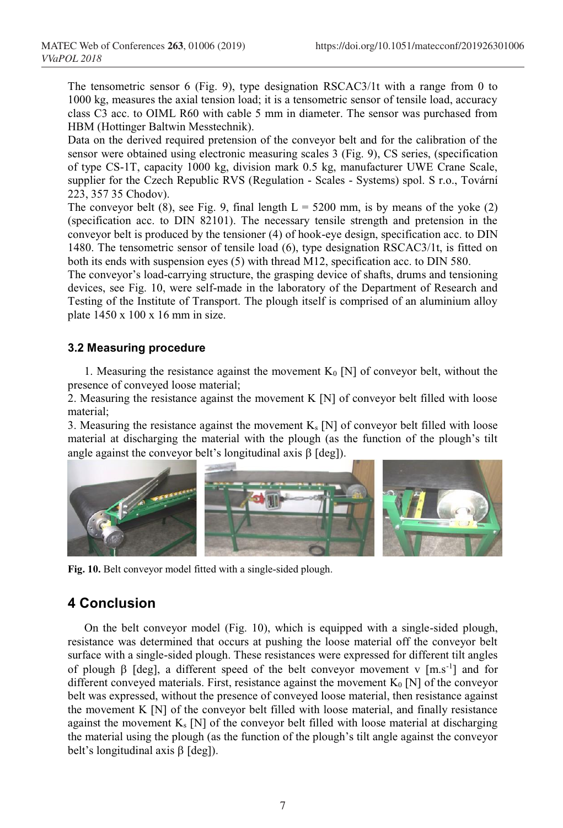The tensometric sensor 6 (Fig. 9), type designation RSCAC3/1t with a range from 0 to 1000 kg, measures the axial tension load; it is a tensometric sensor of tensile load, accuracy class C3 acc. to OIML R60 with cable 5 mm in diameter. The sensor was purchased from HBM (Hottinger Baltwin Messtechnik).

Data on the derived required pretension of the conveyor belt and for the calibration of the sensor were obtained using electronic measuring scales 3 (Fig. 9), CS series, (specification of type CS-1T, capacity 1000 kg, division mark 0.5 kg, manufacturer UWE Crane Scale, supplier for the Czech Republic RVS (Regulation - Scales - Systems) spol. S r.o., Tovární 223, 357 35 Chodov).

The conveyor belt (8), see Fig. 9, final length  $L = 5200$  mm, is by means of the yoke (2) (specification acc. to DIN 82101). The necessary tensile strength and pretension in the conveyor belt is produced by the tensioner (4) of hook-eye design, specification acc. to DIN 1480. The tensometric sensor of tensile load (6), type designation RSCAC3/1t, is fitted on both its ends with suspension eyes (5) with thread M12, specification acc. to DIN 580.

The conveyor's load-carrying structure, the grasping device of shafts, drums and tensioning devices, see Fig. 10, were self-made in the laboratory of the Department of Research and Testing of the Institute of Transport. The plough itself is comprised of an aluminium alloy plate 1450 x 100 x 16 mm in size.

#### **3.2 Measuring procedure**

1. Measuring the resistance against the movement  $K_0$  [N] of conveyor belt, without the presence of conveyed loose material;

2. Measuring the resistance against the movement K [N] of conveyor belt filled with loose material;

3. Measuring the resistance against the movement  $K_s$  [N] of conveyor belt filled with loose material at discharging the material with the plough (as the function of the plough's tilt angle against the conveyor belt's longitudinal axis  $\beta$  [deg]).



**Fig. 10.** Belt conveyor model fitted with a single-sided plough.

## **4 Conclusion**

On the belt conveyor model (Fig. 10), which is equipped with a single-sided plough, resistance was determined that occurs at pushing the loose material off the conveyor belt surface with a single-sided plough. These resistances were expressed for different tilt angles of plough  $\beta$  [deg], a different speed of the belt conveyor movement v [m.s<sup>-1</sup>] and for different conveyed materials. First, resistance against the movement  $K_0$  [N] of the conveyor belt was expressed, without the presence of conveyed loose material, then resistance against the movement K [N] of the conveyor belt filled with loose material, and finally resistance against the movement  $K_s$  [N] of the conveyor belt filled with loose material at discharging the material using the plough (as the function of the plough's tilt angle against the conveyor belt's longitudinal axis  $\beta$  [deg]).